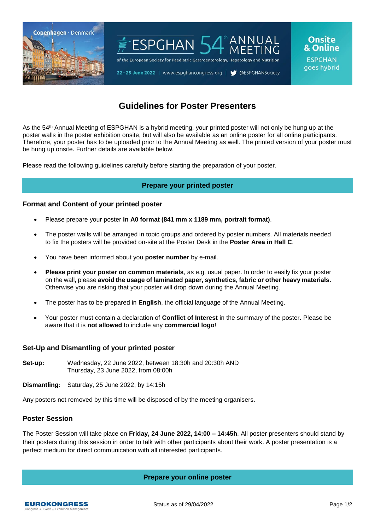



22-25 June 2022 | www.espghancongress.org | S @ESPGHANSociety

# **Guidelines for Poster Presenters**

As the 54th Annual Meeting of ESPGHAN is a hybrid meeting, your printed poster will not only be hung up at the poster walls in the poster exhibition onsite, but will also be available as an online poster for all online participants. Therefore, your poster has to be uploaded prior to the Annual Meeting as well. The printed version of your poster must be hung up onsite. Further details are available below.

Please read the following guidelines carefully before starting the preparation of your poster.

# **Prepare your printed poster**

## **Format and Content of your printed poster**

- Please prepare your poster **in A0 format (841 mm x 1189 mm, portrait format)**.
- The poster walls will be arranged in topic groups and ordered by poster numbers. All materials needed to fix the posters will be provided on-site at the Poster Desk in the **Poster Area in Hall C**.
- You have been informed about you **poster number** by e-mail.
- **Please print your poster on common materials**, as e.g. usual paper. In order to easily fix your poster on the wall, please **avoid the usage of laminated paper, synthetics, fabric or other heavy materials**. Otherwise you are risking that your poster will drop down during the Annual Meeting.
- The poster has to be prepared in **English**, the official language of the Annual Meeting.
- Your poster must contain a declaration of **Conflict of Interest** in the summary of the poster. Please be aware that it is **not allowed** to include any **commercial logo**!

#### **Set-Up and Dismantling of your printed poster**

**Set-up:** Wednesday, 22 June 2022, between 18:30h and 20:30h AND Thursday, 23 June 2022, from 08:00h

**Dismantling:** Saturday, 25 June 2022, by 14:15h

Any posters not removed by this time will be disposed of by the meeting organisers.

#### **Poster Session**

The Poster Session will take place on **Friday, 24 June 2022, 14:00 – 14:45h**. All poster presenters should stand by their posters during this session in order to talk with other participants about their work. A poster presentation is a perfect medium for direct communication with all interested participants.

# **Prepare your online poster**

**EUROKONGRESS** 

**Onsite** & Online **ESPGHAN** 

goes hybrid